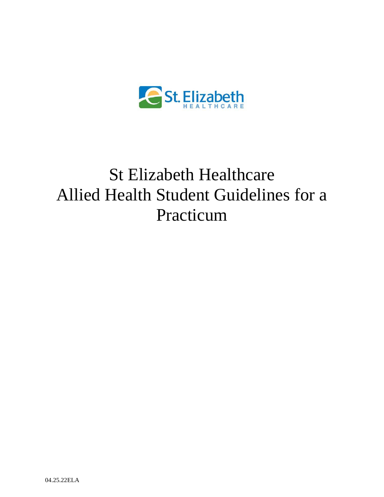

# St Elizabeth Healthcare Allied Health Student Guidelines for a Practicum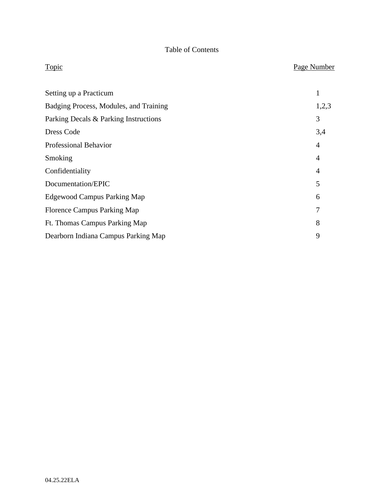## Table of Contents

| Topic                                  | Page Number    |
|----------------------------------------|----------------|
| Setting up a Practicum                 | $\mathbf{1}$   |
| Badging Process, Modules, and Training | 1,2,3          |
| Parking Decals & Parking Instructions  | 3              |
| Dress Code                             | 3,4            |
| <b>Professional Behavior</b>           | $\overline{4}$ |
| Smoking                                | $\overline{4}$ |
| Confidentiality                        | $\overline{4}$ |
| Documentation/EPIC                     | 5              |
| <b>Edgewood Campus Parking Map</b>     | 6              |
| <b>Florence Campus Parking Map</b>     | 7              |
| Ft. Thomas Campus Parking Map          | 8              |
| Dearborn Indiana Campus Parking Map    | 9              |
|                                        |                |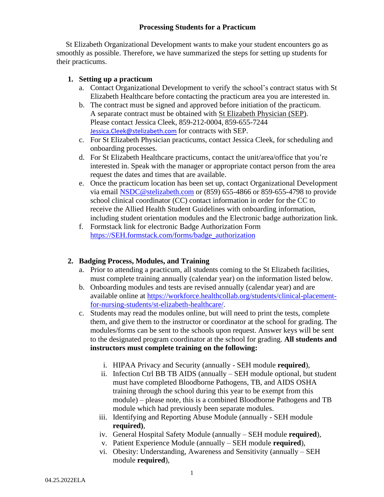#### **Processing Students for a Practicum**

 St Elizabeth Organizational Development wants to make your student encounters go as smoothly as possible. Therefore, we have summarized the steps for setting up students for their practicums.

#### **1. Setting up a practicum**

- a. Contact Organizational Development to verify the school's contract status with St Elizabeth Healthcare before contacting the practicum area you are interested in.
- b. The contract must be signed and approved before initiation of the practicum. A separate contract must be obtained with St Elizabeth Physician (SEP). Please contact Jessica Cleek, 859-212-0004, 859-655-7244 [Jessica.Cleek@stelizabeth.com](mailto:Jessica.Cleek@stelizabeth.com) for contracts with SEP.
- c. For St Elizabeth Physician practicums, contact Jessica Cleek, for scheduling and onboarding processes.
- d. For St Elizabeth Healthcare practicums, contact the unit/area/office that you're interested in. Speak with the manager or appropriate contact person from the area request the dates and times that are available.
- e. Once the practicum location has been set up, contact Organizational Development via email [NSDC@stelizabeth.com](mailto:NSDC@stelizabeth.com) or (859) 655-4866 or 859-655-4798 to provide school clinical coordinator (CC) contact information in order for the CC to receive the Allied Health Student Guidelines with onboarding information, including student orientation modules and the Electronic badge authorization link.
- f. Formstack link for electronic Badge Authorization Form [https://SEH.formstack.com/forms/badge\\_authorization](https://seh.formstack.com/forms/badge_authorization)

### **2. Badging Process, Modules, and Training**

- a. Prior to attending a practicum, all students coming to the St Elizabeth facilities, must complete training annually (calendar year) on the information listed below.
- b. Onboarding modules and tests are revised annually (calendar year) and are available online at [https://workforce.healthcollab.org/students/clinical-placement](https://workforce.healthcollab.org/students/clinical-placement-for-nursing-students/st-elizabeth-healthcare/)[for-nursing-students/st-elizabeth-healthcare/.](https://workforce.healthcollab.org/students/clinical-placement-for-nursing-students/st-elizabeth-healthcare/)
- c. Students may read the modules online, but will need to print the tests, complete them, and give them to the instructor or coordinator at the school for grading. The modules/forms can be sent to the schools upon request. Answer keys will be sent to the designated program coordinator at the school for grading. **All students and instructors must complete training on the following:**
	- i. HIPAA Privacy and Security (annually SEH module **required**),
	- ii. Infection Ctrl BB TB AIDS (annually SEH module optional, but student must have completed Bloodborne Pathogens, TB, and AIDS OSHA training through the school during this year to be exempt from this module) – please note, this is a combined Bloodborne Pathogens and TB module which had previously been separate modules.
	- iii. Identifying and Reporting Abuse Module (annually SEH module **required)**,
	- iv. General Hospital Safety Module (annually SEH module **required**),
	- v. Patient Experience Module (annually SEH module **required**),
	- vi. Obesity: Understanding, Awareness and Sensitivity (annually SEH module **required**),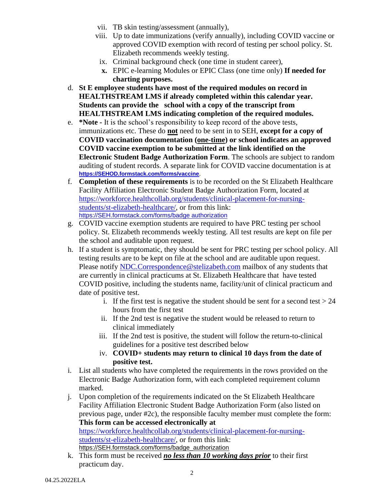- vii. TB skin testing/assessment (annually),
- viii. Up to date immunizations (verify annually), including COVID vaccine or approved COVID exemption with record of testing per school policy. St. Elizabeth recommends weekly testing.
- ix. Criminal background check (one time in student career),
- **x.** EPIC e-learning Modules or EPIC Class (one time only) **If needed for charting purposes.**
- d. **St E employee students have most of the required modules on record in HEALTHSTREAM LMS if already completed within this calendar year. Students can provide the school with a copy of the transcript from HEALTHSTREAM LMS indicating completion of the required modules.**
- e. **\*Note -** It is the school's responsibility to keep record of the above tests, immunizations etc. These do **not** need to be sent in to SEH, **except for a copy of COVID vaccination documentation (one-time) or school indicates an approved COVID vaccine exemption to be submitted at the link identified on the Electronic Student Badge Authorization Form**. The schools are subject to random auditing of student records. A separate link for COVID vaccine documentation is at **[https://SEHOD.formstack.com/forms/vaccine](https://sehod.formstack.com/forms/vaccine)**.
- f. **Completion of these requirements** is to be recorded on the St Elizabeth Healthcare Facility Affiliation Electronic Student Badge Authorization Form, located at [https://workforce.healthcollab.org/students/clinical-placement-for-nursing](https://workforce.healthcollab.org/students/clinical-placement-for-nursing-students/st-elizabeth-healthcare/)[students/st-elizabeth-healthcare/,](https://workforce.healthcollab.org/students/clinical-placement-for-nursing-students/st-elizabeth-healthcare/) or from this link: [https://SEH.formstack.com/forms/badge](https://seh.formstack.com/forms/badge%20authorization) authorization
- g. COVID vaccine exemption students are required to have PRC testing per school policy. St. Elizabeth recommends weekly testing. All test results are kept on file per the school and auditable upon request.
- h. If a student is symptomatic, they should be sent for PRC testing per school policy. All testing results are to be kept on file at the school and are auditable upon request. Please notify [NDC.Correspondence@stelizabeth.com](mailto:NDC.Correspondence@stelizabeth.com) mailbox of any students that are currently in clinical practicums at St. Elizabeth Healthcare that have tested COVID positive, including the students name, facility/unit of clinical practicum and date of positive test.
	- i. If the first test is negative the student should be sent for a second test  $> 24$ hours from the first test
	- ii. If the 2nd test is negative the student would be released to return to clinical immediately
	- iii. If the 2nd test is positive, the student will follow the return-to-clinical guidelines for a positive test described below
	- iv. **COVID+ students may return to clinical 10 days from the date of positive test.**
- i. List all students who have completed the requirements in the rows provided on the Electronic Badge Authorization form, with each completed requirement column marked.
- j. Upon completion of the requirements indicated on the St Elizabeth Healthcare Facility Affiliation Electronic Student Badge Authorization Form (also listed on previous page, under #2c), the responsible faculty member must complete the form: **This form can be accessed electronically at** [https://workforce.healthcollab.org/students/clinical-placement-for-nursing-](https://workforce.healthcollab.org/students/clinical-placement-for-nursing-students/st-elizabeth-healthcare/)

[students/st-elizabeth-healthcare/,](https://workforce.healthcollab.org/students/clinical-placement-for-nursing-students/st-elizabeth-healthcare/) or from this link: [https://SEH.formstack.com/forms/badge\\_authorization](https://seh.formstack.com/forms/badge_authorization)

k. This form must be received *no less than 10 working days prior* to their first practicum day.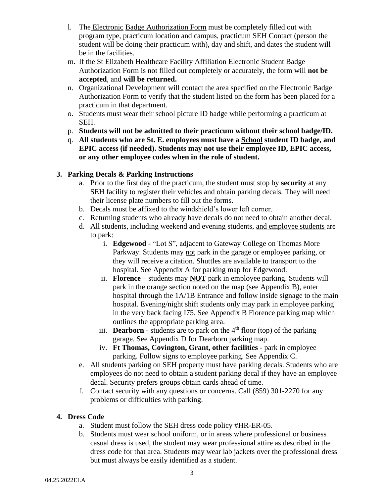- l. The Electronic Badge Authorization Form must be completely filled out with program type, practicum location and campus, practicum SEH Contact (person the student will be doing their practicum with), day and shift, and dates the student will be in the facilities.
- m. If the St Elizabeth Healthcare Facility Affiliation Electronic Student Badge Authorization Form is not filled out completely or accurately, the form will **not be accepted**, and **will be returned.**
- n. Organizational Development will contact the area specified on the Electronic Badge Authorization Form to verify that the student listed on the form has been placed for a practicum in that department.
- o. Students must wear their school picture ID badge while performing a practicum at SEH.
- p. **Students will not be admitted to their practicum without their school badge/ID.**
- q. **All students who are St. E. employees must have a School student ID badge, and EPIC access (if needed). Students may not use their employee ID, EPIC access, or any other employee codes when in the role of student.**

#### **3. Parking Decals & Parking Instructions**

- a. Prior to the first day of the practicum, the student must stop by **security** at any SEH facility to register their vehicles and obtain parking decals. They will need their license plate numbers to fill out the forms.
- b. Decals must be affixed to the windshield's lower left corner.
- c. Returning students who already have decals do not need to obtain another decal.
- d. All students, including weekend and evening students, and employee students are to park:
	- i. **Edgewood** "Lot S", adjacent to Gateway College on Thomas More Parkway. Students may not park in the garage or employee parking, or they will receive a citation. Shuttles are available to transport to the hospital. See Appendix A for parking map for Edgewood.
	- ii. **Florence** students may **NOT** park in employee parking. Students will park in the orange section noted on the map (see Appendix B), enter hospital through the 1A/1B Entrance and follow inside signage to the main hospital. Evening/night shift students only may park in employee parking in the very back facing I75. See Appendix B Florence parking map which outlines the appropriate parking area.
	- iii. **Dearborn** students are to park on the  $4<sup>th</sup>$  floor (top) of the parking garage. See Appendix D for Dearborn parking map.
	- iv. **Ft Thomas, Covington, Grant, other facilities** park in employee parking. Follow signs to employee parking. See Appendix C.
- e. All students parking on SEH property must have parking decals. Students who are employees do not need to obtain a student parking decal if they have an employee decal. Security prefers groups obtain cards ahead of time.
- f. Contact security with any questions or concerns. Call (859) 301-2270 for any problems or difficulties with parking.

#### **4. Dress Code**

- a. Student must follow the SEH dress code policy #HR-ER-05.
- b. Students must wear school uniform, or in areas where professional or business casual dress is used, the student may wear professional attire as described in the dress code for that area. Students may wear lab jackets over the professional dress but must always be easily identified as a student.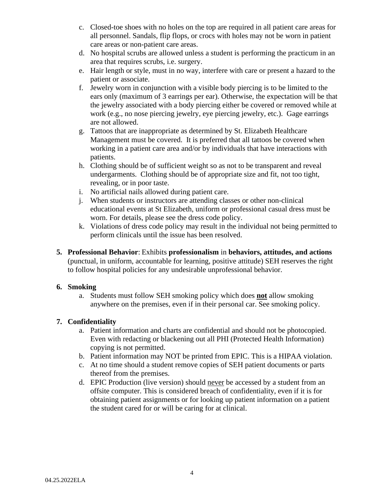- c. Closed-toe shoes with no holes on the top are required in all patient care areas for all personnel. Sandals, flip flops, or crocs with holes may not be worn in patient care areas or non-patient care areas.
- d. No hospital scrubs are allowed unless a student is performing the practicum in an area that requires scrubs, i.e. surgery.
- e. Hair length or style, must in no way, interfere with care or present a hazard to the patient or associate.
- f. Jewelry worn in conjunction with a visible body piercing is to be limited to the ears only (maximum of 3 earrings per ear). Otherwise, the expectation will be that the jewelry associated with a body piercing either be covered or removed while at work (e.g., no nose piercing jewelry, eye piercing jewelry, etc.). Gage earrings are not allowed.
- g. Tattoos that are inappropriate as determined by St. Elizabeth Healthcare Management must be covered. It is preferred that all tattoos be covered when working in a patient care area and/or by individuals that have interactions with patients.
- h. Clothing should be of sufficient weight so as not to be transparent and reveal undergarments. Clothing should be of appropriate size and fit, not too tight, revealing, or in poor taste.
- i. No artificial nails allowed during patient care.
- j. When students or instructors are attending classes or other non-clinical educational events at St Elizabeth, uniform or professional casual dress must be worn. For details, please see the dress code policy.
- k. Violations of dress code policy may result in the individual not being permitted to perform clinicals until the issue has been resolved.
- **5. Professional Behavior**: Exhibits **professionalism** in **behaviors, attitudes, and actions**  (punctual, in uniform, accountable for learning, positive attitude) SEH reserves the right to follow hospital policies for any undesirable unprofessional behavior.

#### **6. Smoking**

a. Students must follow SEH smoking policy which does **not** allow smoking anywhere on the premises, even if in their personal car. See smoking policy.

#### **7. Confidentiality**

- a. Patient information and charts are confidential and should not be photocopied. Even with redacting or blackening out all PHI (Protected Health Information) copying is not permitted.
- b. Patient information may NOT be printed from EPIC. This is a HIPAA violation.
- c. At no time should a student remove copies of SEH patient documents or parts thereof from the premises.
- d. EPIC Production (live version) should never be accessed by a student from an offsite computer. This is considered breach of confidentiality, even if it is for obtaining patient assignments or for looking up patient information on a patient the student cared for or will be caring for at clinical.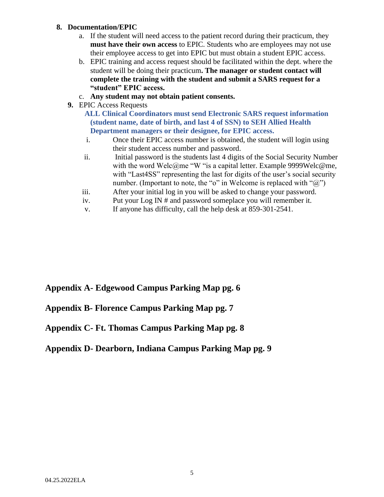#### **8. Documentation/EPIC**

- a. If the student will need access to the patient record during their practicum, they **must have their own access** to EPIC. Students who are employees may not use their employee access to get into EPIC but must obtain a student EPIC access.
- b. EPIC training and access request should be facilitated within the dept. where the student will be doing their practicum**. The manager or student contact will complete the training with the student and submit a SARS request for a "student" EPIC access.**
- c. **Any student may not obtain patient consents.**
- **9.** EPIC Access Requests
	- **ALL Clinical Coordinators must send Electronic SARS request information (student name, date of birth, and last 4 of SSN) to SEH Allied Health Department managers or their designee, for EPIC access.**
	- i. Once their EPIC access number is obtained, the student will login using their student access number and password.
	- ii. Initial password is the students last 4 digits of the Social Security Number with the word Welc@me "W "is a capital letter. Example 9999Welc@me, with "Last 4SS" representing the last for digits of the user's social security number. (Important to note, the "o" in Welcome is replaced with " $(\partial$ ")
	- iii. After your initial log in you will be asked to change your password.
	- iv. Put your Log IN # and password someplace you will remember it.
	- v. If anyone has difficulty, call the help desk at 859-301-2541.

# **Appendix A- Edgewood Campus Parking Map pg. 6**

### **Appendix B- Florence Campus Parking Map pg. 7**

### **Appendix C- Ft. Thomas Campus Parking Map pg. 8**

### **Appendix D- Dearborn, Indiana Campus Parking Map pg. 9**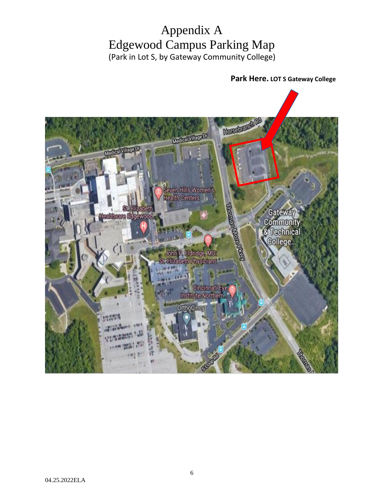# Appendix A Edgewood Campus Parking Map (Park in Lot S, by Gateway Community College)

 **Park Here. LOT S Gateway College** 

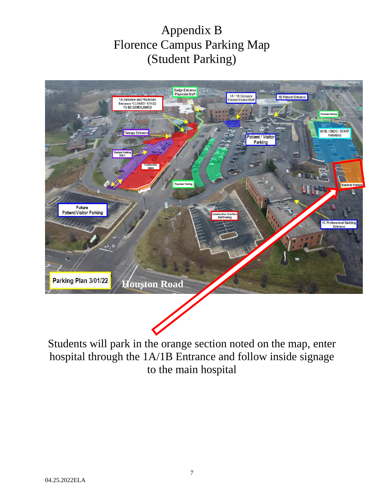# Appendix B Florence Campus Parking Map (Student Parking)



Students will park in the orange section noted on the map, enter hospital through the 1A/1B Entrance and follow inside signage to the main hospital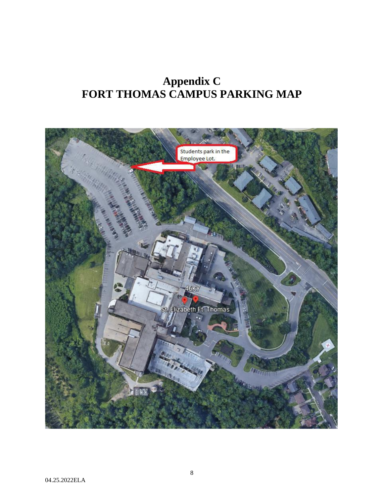# **Appendix C FORT THOMAS CAMPUS PARKING MAP**